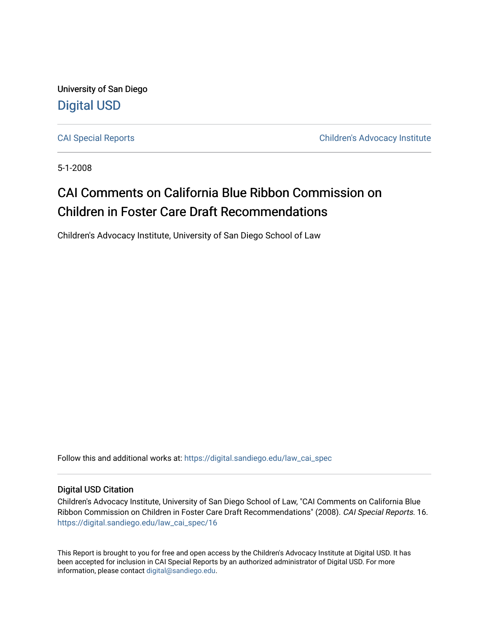University of San Diego [Digital USD](https://digital.sandiego.edu/)

[CAI Special Reports](https://digital.sandiego.edu/law_cai_spec) [Children's Advocacy Institute](https://digital.sandiego.edu/law_cai) 

5-1-2008

# CAI Comments on California Blue Ribbon Commission on Children in Foster Care Draft Recommendations

Children's Advocacy Institute, University of San Diego School of Law

Follow this and additional works at: [https://digital.sandiego.edu/law\\_cai\\_spec](https://digital.sandiego.edu/law_cai_spec?utm_source=digital.sandiego.edu%2Flaw_cai_spec%2F16&utm_medium=PDF&utm_campaign=PDFCoverPages) 

#### Digital USD Citation

Children's Advocacy Institute, University of San Diego School of Law, "CAI Comments on California Blue Ribbon Commission on Children in Foster Care Draft Recommendations" (2008). CAI Special Reports. 16. [https://digital.sandiego.edu/law\\_cai\\_spec/16](https://digital.sandiego.edu/law_cai_spec/16?utm_source=digital.sandiego.edu%2Flaw_cai_spec%2F16&utm_medium=PDF&utm_campaign=PDFCoverPages)

This Report is brought to you for free and open access by the Children's Advocacy Institute at Digital USD. It has been accepted for inclusion in CAI Special Reports by an authorized administrator of Digital USD. For more information, please contact [digital@sandiego.edu.](mailto:digital@sandiego.edu)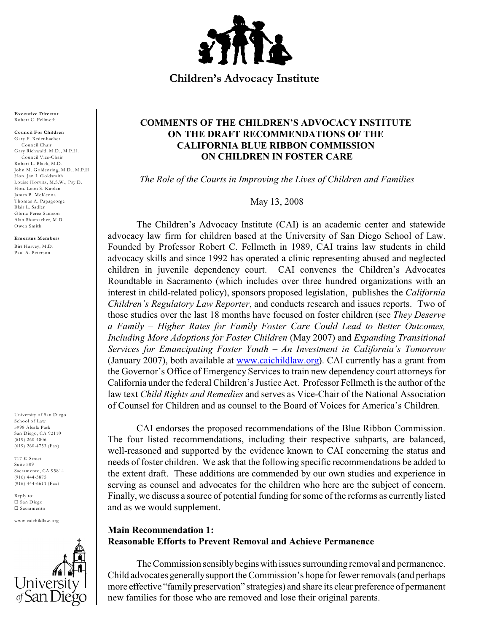

**Children's Advocacy Institute**

**Executive Director** Robert C. Fellmeth

**Council For Children** Gary F. Redenbacher Council Chair Gary Richwald, M.D., M.P.H. Council Vice-Chair Robert L. Black, M.D . John M. Goldenring, M.D., M.P.H. Hon. Jan I. Goldsmith Louise Horvitz, M.S.W ., Psy.D . Hon. Leon S. Kaplan James B. McKenna Thomas A. Papageorge Blair L. Sadler Gloria Perez Samson Alan Shum acher, M.D . Owen Smith

**Emeritus Mem bers** Birt Harvey, M.D . Paul A. Peterson

University of San Diego School of Law 5998 Alcalá Park San Diego, CA 92110 (619) 260-4806 (619) 260-4753 (Fax)

717 K Street Suite 509 Sacramento, CA 95814 (916) 444-3875 (916) 444-6611 (Fax)

Reply to: G San Diego G Sacramento

www.caichildlaw.org



### **COMMENTS OF THE CHILDREN'S ADVOCACY INSTITUTE ON THE DRAFT RECOMMENDATIONS OF THE CALIFORNIA BLUE RIBBON COMMISSION ON CHILDREN IN FOSTER CARE**

*The Role of the Courts in Improving the Lives of Children and Families*

May 13, 2008

The Children's Advocacy Institute (CAI) is an academic center and statewide advocacy law firm for children based at the University of San Diego School of Law. Founded by Professor Robert C. Fellmeth in 1989, CAI trains law students in child advocacy skills and since 1992 has operated a clinic representing abused and neglected children in juvenile dependency court. CAI convenes the Children's Advocates Roundtable in Sacramento (which includes over three hundred organizations with an interest in child-related policy), sponsors proposed legislation, publishes the *California Children's Regulatory Law Reporter*, and conducts research and issues reports. Two of those studies over the last 18 months have focused on foster children (see *They Deserve a Family – Higher Rates for Family Foster Care Could Lead to Better Outcomes, Including More Adoptions for Foster Children* (May 2007) and *Expanding Transitional Services for Emancipating Foster Youth – An Investment in California's Tomorrow* (January 2007), both available at [www.caichildlaw.org](http://www.caichildlaw.org)). CAI currently has a grant from the Governor's Office of Emergency Services to train new dependency court attorneys for California under the federal Children's Justice Act. Professor Fellmeth is the author of the law text *Child Rights and Remedies* and serves as Vice-Chair of the National Association of Counsel for Children and as counsel to the Board of Voices for America's Children.

CAI endorses the proposed recommendations of the Blue Ribbon Commission. The four listed recommendations, including their respective subparts, are balanced, well-reasoned and supported by the evidence known to CAI concerning the status and needs of foster children. We ask that the following specific recommendations be added to the extent draft. These additions are commended by our own studies and experience in serving as counsel and advocates for the children who here are the subject of concern. Finally, we discuss a source of potential funding for some of the reforms as currently listed and as we would supplement.

#### **Main Recommendation 1: Reasonable Efforts to Prevent Removal and Achieve Permanence**

The Commission sensibly begins with issues surrounding removal and permanence. Child advocates generally support the Commission's hope for fewer removals (and perhaps more effective "family preservation" strategies) and share its clear preference of permanent new families for those who are removed and lose their original parents.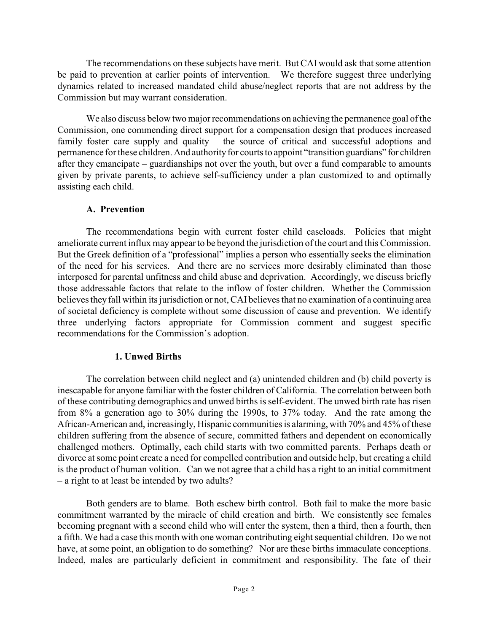The recommendations on these subjects have merit. But CAI would ask that some attention be paid to prevention at earlier points of intervention. We therefore suggest three underlying dynamics related to increased mandated child abuse/neglect reports that are not address by the Commission but may warrant consideration.

We also discuss below two major recommendations on achieving the permanence goal of the Commission, one commending direct support for a compensation design that produces increased family foster care supply and quality – the source of critical and successful adoptions and permanence for these children. And authority for courts to appoint "transition guardians" for children after they emancipate – guardianships not over the youth, but over a fund comparable to amounts given by private parents, to achieve self-sufficiency under a plan customized to and optimally assisting each child.

### **A. Prevention**

The recommendations begin with current foster child caseloads. Policies that might ameliorate current influx mayappear to be beyond the jurisdiction of the court and this Commission. But the Greek definition of a "professional" implies a person who essentially seeks the elimination of the need for his services. And there are no services more desirably eliminated than those interposed for parental unfitness and child abuse and deprivation. Accordingly, we discuss briefly those addressable factors that relate to the inflow of foster children. Whether the Commission believes they fall within its jurisdiction or not, CAI believes that no examination of a continuing area of societal deficiency is complete without some discussion of cause and prevention. We identify three underlying factors appropriate for Commission comment and suggest specific recommendations for the Commission's adoption.

### **1. Unwed Births**

The correlation between child neglect and (a) unintended children and (b) child poverty is inescapable for anyone familiar with the foster children of California. The correlation between both of these contributing demographics and unwed births is self-evident. The unwed birth rate has risen from 8% a generation ago to 30% during the 1990s, to 37% today. And the rate among the African-American and, increasingly, Hispanic communities is alarming, with 70% and 45% of these children suffering from the absence of secure, committed fathers and dependent on economically challenged mothers. Optimally, each child starts with two committed parents. Perhaps death or divorce at some point create a need for compelled contribution and outside help, but creating a child is the product of human volition. Can we not agree that a child has a right to an initial commitment – a right to at least be intended by two adults?

Both genders are to blame. Both eschew birth control. Both fail to make the more basic commitment warranted by the miracle of child creation and birth. We consistently see females becoming pregnant with a second child who will enter the system, then a third, then a fourth, then a fifth. We had a case this month with one woman contributing eight sequential children. Do we not have, at some point, an obligation to do something? Nor are these births immaculate conceptions. Indeed, males are particularly deficient in commitment and responsibility. The fate of their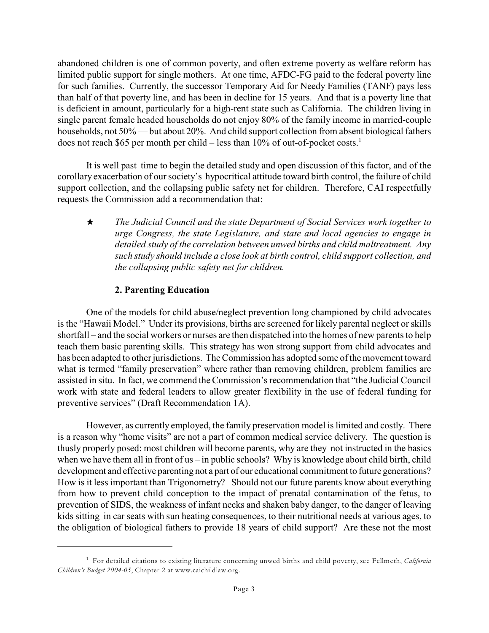abandoned children is one of common poverty, and often extreme poverty as welfare reform has limited public support for single mothers. At one time, AFDC-FG paid to the federal poverty line for such families. Currently, the successor Temporary Aid for Needy Families (TANF) pays less than half of that poverty line, and has been in decline for 15 years. And that is a poverty line that is deficient in amount, particularly for a high-rent state such as California. The children living in single parent female headed households do not enjoy 80% of the family income in married-couple households, not 50% — but about 20%. And child support collection from absent biological fathers does not reach \$65 per month per child – less than 10% of out-of-pocket costs. 1

It is well past time to begin the detailed study and open discussion of this factor, and of the corollary exacerbation of our society's hypocritical attitude toward birth control, the failure of child support collection, and the collapsing public safety net for children. Therefore, CAI respectfully requests the Commission add a recommendation that:

i *The Judicial Council and the state Department of Social Services work together to urge Congress, the state Legislature, and state and local agencies to engage in detailed study of the correlation between unwed births and child maltreatment. Any such study should include a close look at birth control, child support collection, and the collapsing public safety net for children.*

## **2. Parenting Education**

One of the models for child abuse/neglect prevention long championed by child advocates is the "Hawaii Model." Under its provisions, births are screened for likely parental neglect or skills shortfall – and the social workers or nurses are then dispatched into the homes of new parents to help teach them basic parenting skills. This strategy has won strong support from child advocates and has been adapted to other jurisdictions. The Commission has adopted some of the movement toward what is termed "family preservation" where rather than removing children, problem families are assisted in situ. In fact, we commend the Commission's recommendation that "the Judicial Council work with state and federal leaders to allow greater flexibility in the use of federal funding for preventive services" (Draft Recommendation 1A).

However, as currently employed, the family preservation model is limited and costly. There is a reason why "home visits" are not a part of common medical service delivery. The question is thusly properly posed: most children will become parents, why are they not instructed in the basics when we have them all in front of us – in public schools? Why is knowledge about child birth, child development and effective parenting not a part of our educational commitment to future generations? How is it less important than Trigonometry? Should not our future parents know about everything from how to prevent child conception to the impact of prenatal contamination of the fetus, to prevention of SIDS, the weakness of infant necks and shaken baby danger, to the danger of leaving kids sitting in car seats with sun heating consequences, to their nutritional needs at various ages, to the obligation of biological fathers to provide 18 years of child support? Are these not the most

For detailed citations to existing literature concerning unwed births and child poverty, see Fellmeth, *California* <sup>1</sup> *Children's Budget 2004-05*, Chapter 2 at www.caichildlaw.org.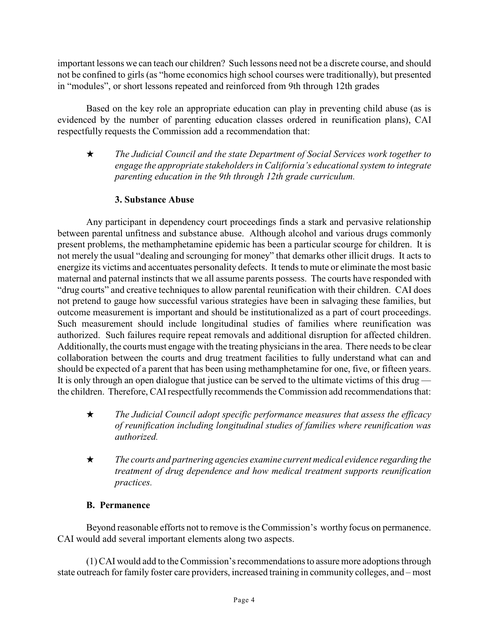important lessons we can teach our children? Such lessons need not be a discrete course, and should not be confined to girls (as "home economics high school courses were traditionally), but presented in "modules", or short lessons repeated and reinforced from 9th through 12th grades

Based on the key role an appropriate education can play in preventing child abuse (as is evidenced by the number of parenting education classes ordered in reunification plans), CAI respectfully requests the Commission add a recommendation that:

i *The Judicial Council and the state Department of Social Services work together to engage the appropriate stakeholders in California's educational system to integrate parenting education in the 9th through 12th grade curriculum.* 

## **3. Substance Abuse**

Any participant in dependency court proceedings finds a stark and pervasive relationship between parental unfitness and substance abuse. Although alcohol and various drugs commonly present problems, the methamphetamine epidemic has been a particular scourge for children. It is not merely the usual "dealing and scrounging for money" that demarks other illicit drugs. It acts to energize its victims and accentuates personality defects. It tends to mute or eliminate the most basic maternal and paternal instincts that we all assume parents possess. The courts have responded with "drug courts" and creative techniques to allow parental reunification with their children. CAI does not pretend to gauge how successful various strategies have been in salvaging these families, but outcome measurement is important and should be institutionalized as a part of court proceedings. Such measurement should include longitudinal studies of families where reunification was authorized. Such failures require repeat removals and additional disruption for affected children. Additionally, the courts must engage with the treating physicians in the area. There needs to be clear collaboration between the courts and drug treatment facilities to fully understand what can and should be expected of a parent that has been using methamphetamine for one, five, or fifteen years. It is only through an open dialogue that justice can be served to the ultimate victims of this drug the children. Therefore, CAI respectfully recommends the Commission add recommendations that:

- i *The Judicial Council adopt specific performance measures that assess the efficacy of reunification including longitudinal studies of families where reunification was authorized.*
- **★** The courts and partnering agencies examine current medical evidence regarding the *treatment of drug dependence and how medical treatment supports reunification practices.*

## **B. Permanence**

Beyond reasonable efforts not to remove is the Commission's worthy focus on permanence. CAI would add several important elements along two aspects.

(1) CAI would add to the Commission'srecommendationsto assure more adoptions through state outreach for family foster care providers, increased training in community colleges, and – most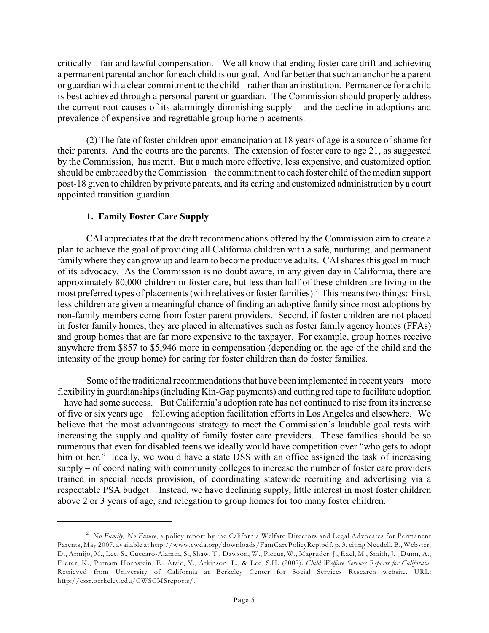critically – fair and lawful compensation. We all know that ending foster care drift and achieving a permanent parental anchor for each child is our goal. And far better that such an anchor be a parent or guardian with a clear commitment to the child – rather than an institution. Permanence for a child is best achieved through a personal parent or guardian. The Commission should properly address the current root causes of its alarmingly diminishing supply – and the decline in adoptions and prevalence of expensive and regrettable group home placements.

(2) The fate of foster children upon emancipation at 18 years of age is a source of shame for their parents. And the courts are the parents. The extension of foster care to age 21, as suggested by the Commission, has merit. But a much more effective, less expensive, and customized option should be embraced by the Commission – the commitment to each foster child of the median support post-18 given to children by private parents, and its caring and customized administration by a court appointed transition guardian.

#### **1. Family Foster Care Supply**

CAI appreciates that the draft recommendations offered by the Commission aim to create a plan to achieve the goal of providing all California children with a safe, nurturing, and permanent family where they can grow up and learn to become productive adults. CAI shares this goal in much of its advocacy. As the Commission is no doubt aware, in any given day in California, there are approximately 80,000 children in foster care, but less than half of these children are living in the most preferred types of placements (with relatives or foster families).<sup>2</sup> This means two things: First, less children are given a meaningful chance of finding an adoptive family since most adoptions by non-family members come from foster parent providers. Second, if foster children are not placed in foster family homes, they are placed in alternatives such as foster family agency homes (FFAs) and group homes that are far more expensive to the taxpayer. For example, group homes receive anywhere from \$857 to \$5,946 more in compensation (depending on the age of the child and the intensity of the group home) for caring for foster children than do foster families.

Some of the traditional recommendations that have been implemented in recent years – more flexibility in guardianships (including Kin-Gap payments) and cutting red tape to facilitate adoption – have had some success. But California's adoption rate has not continued to rise from its increase of five or six years ago – following adoption facilitation efforts in Los Angeles and elsewhere. We believe that the most advantageous strategy to meet the Commission's laudable goal rests with increasing the supply and quality of family foster care providers. These families should be so numerous that even for disabled teens we ideally would have competition over "who gets to adopt him or her." Ideally, we would have a state DSS with an office assigned the task of increasing supply – of coordinating with community colleges to increase the number of foster care providers trained in special needs provision, of coordinating statewide recruiting and advertising via a respectable PSA budget. Instead, we have declining supply, little interest in most foster children above 2 or 3 years of age, and relegation to group homes for too many foster children.

<sup>&</sup>lt;sup>2</sup> No Family, No Future, a policy report by the California Welfare Directors and Legal Advocates for Permanent Parents, May 2007, available at http://www.cwda.org/downloads/FamCarePolicyRep.pdf, p. 3, citing Needell, B., Webster, D., Armijo, M., Lee, S., Cuccaro-Alamin, S., Shaw, T., Dawson, W., Piccus, W., Magruder, J., Exel, M., Smith, J. , Dunn, A., Frerer, K., Putnam Hornstein, E., Ataie, Y., Atkinson, L., & Lee, S.H. (2007). *Child Welfare Services Reports for California*. Retrieved from University of California at Berkeley Center for Social Services Research website. URL: http://cssr.berkeley.edu/CWSCMSreports/.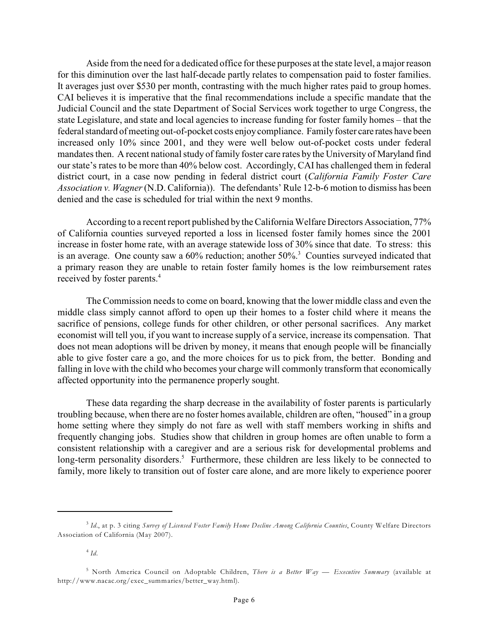Aside from the need for a dedicated office for these purposes at the state level, a major reason for this diminution over the last half-decade partly relates to compensation paid to foster families. It averages just over \$530 per month, contrasting with the much higher rates paid to group homes. CAI believes it is imperative that the final recommendations include a specific mandate that the Judicial Council and the state Department of Social Services work together to urge Congress, the state Legislature, and state and local agencies to increase funding for foster family homes – that the federal standard of meeting out-of-pocket costs enjoy compliance. Family foster care rates have been increased only 10% since 2001, and they were well below out-of-pocket costs under federal mandates then. A recent national study of family foster care rates by the University of Maryland find our state's rates to be more than 40% below cost. Accordingly, CAI has challenged them in federal district court, in a case now pending in federal district court (*California Family Foster Care Association v. Wagner* (N.D. California)). The defendants' Rule 12-b-6 motion to dismiss has been denied and the case is scheduled for trial within the next 9 months.

According to a recent report published by the California Welfare Directors Association, 77% of California counties surveyed reported a loss in licensed foster family homes since the 2001 increase in foster home rate, with an average statewide loss of 30% since that date. To stress: this is an average. One county saw a  $60\%$  reduction; another  $50\%$ <sup>3</sup> Counties surveyed indicated that a primary reason they are unable to retain foster family homes is the low reimbursement rates received by foster parents. 4

The Commission needs to come on board, knowing that the lower middle class and even the middle class simply cannot afford to open up their homes to a foster child where it means the sacrifice of pensions, college funds for other children, or other personal sacrifices. Any market economist will tell you, if you want to increase supply of a service, increase its compensation. That does not mean adoptions will be driven by money, it means that enough people will be financially able to give foster care a go, and the more choices for us to pick from, the better. Bonding and falling in love with the child who becomes your charge will commonly transform that economically affected opportunity into the permanence properly sought.

These data regarding the sharp decrease in the availability of foster parents is particularly troubling because, when there are no foster homes available, children are often, "housed" in a group home setting where they simply do not fare as well with staff members working in shifts and frequently changing jobs. Studies show that children in group homes are often unable to form a consistent relationship with a caregiver and are a serious risk for developmental problems and long-term personality disorders.<sup>5</sup> Furthermore, these children are less likely to be connected to family, more likely to transition out of foster care alone, and are more likely to experience poorer

<sup>&</sup>lt;sup>3</sup> Id., at p. 3 citing *Survey of Licensed Foster Family Home Decline Among California Counties, County Welfare Directors* Association of California (May 2007).

 $4$  Id.

<sup>&</sup>lt;sup>5</sup> North America Council on Adoptable Children, *There is a Better Way* — *Executive Summary* (available at http://www.nacac.org/exec\_summaries/better\_way.html).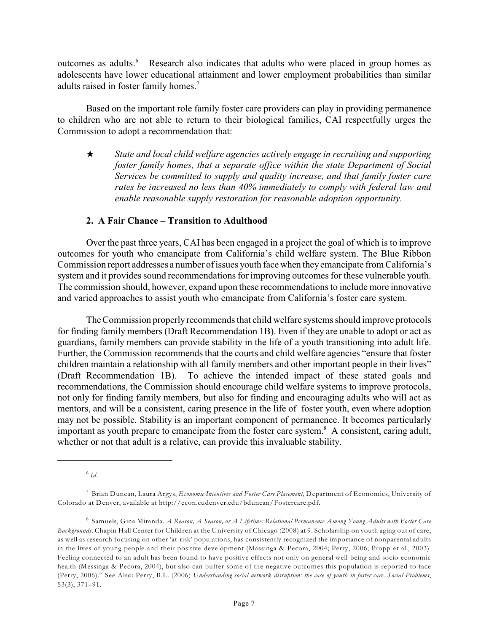outcomes as adults. Research also indicates that adults who were placed in group homes as adolescents have lower educational attainment and lower employment probabilities than similar adults raised in foster family homes.<sup>7</sup>

Based on the important role family foster care providers can play in providing permanence to children who are not able to return to their biological families, CAI respectfully urges the Commission to adopt a recommendation that:

 $\star$  State and local child welfare agencies actively engage in recruiting and supporting *foster family homes, that a separate office within the state Department of Social Services be committed to supply and quality increase, and that family foster care rates be increased no less than 40% immediately to comply with federal law and enable reasonable supply restoration for reasonable adoption opportunity.* 

#### **2. A Fair Chance – Transition to Adulthood**

Over the past three years, CAI has been engaged in a project the goal of which is to improve outcomes for youth who emancipate from California's child welfare system. The Blue Ribbon Commission report addresses a number of issues youth face when they emancipate from California's system and it provides sound recommendations for improving outcomes for these vulnerable youth. The commission should, however, expand upon these recommendations to include more innovative and varied approaches to assist youth who emancipate from California's foster care system.

TheCommission properly recommends that child welfare systems should improve protocols for finding family members (Draft Recommendation 1B). Even if they are unable to adopt or act as guardians, family members can provide stability in the life of a youth transitioning into adult life. Further, the Commission recommends that the courts and child welfare agencies "ensure that foster children maintain a relationship with all family members and other important people in their lives" (Draft Recommendation 1B). To achieve the intended impact of these stated goals and recommendations, the Commission should encourage child welfare systems to improve protocols, not only for finding family members, but also for finding and encouraging adults who will act as mentors, and will be a consistent, caring presence in the life of foster youth, even where adoption may not be possible. Stability is an important component of permanence. It becomes particularly important as youth prepare to emancipate from the foster care system.<sup>8</sup> A consistent, caring adult, whether or not that adult is a relative, can provide this invaluable stability.

 $6$   $Id.$ 

Brian Duncan, Laura Argys, *Economic Incentives and Foster Care Placement*, Department of Economics, University of <sup>7</sup> Colorado at Denver, available at http://econ.cudenver.edu/bduncan/Fostercare.pdf.

<sup>&</sup>lt;sup>8</sup> Samuels, Gina Miranda. *A Reason, A Season, or A Lifetime: Relational Permanence Among Young Adults with Foster Care Backgrounds*. Chapin Hall Center for Children at the University of Chicago (2008) at 9. Scholarship on youth aging out of care, as well as research focusing on other 'at-risk' populations, has consistently recognized the importance of nonparental adults in the lives of young people and their positive development (Massinga & Pecora, 2004; Perry, 2006; Propp et al., 2003). Feeling connected to an adult has been found to have positive effects not only on general well-being and socio-economic health (Messinga & Pecora, 2004), but also can buffer some of the negative outcomes this population is reported to face (Perry, 2006)." See Also: Perry, B.L. (2006) *Understanding social network disruption: the case of youth in foster care*. *Social Problems*, 53(3), 371–91.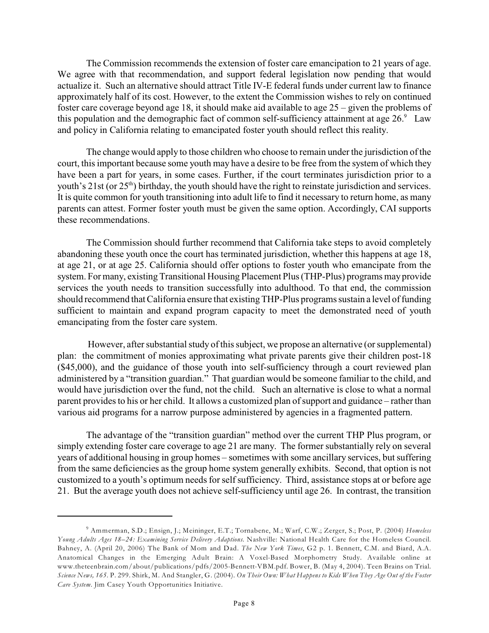The Commission recommends the extension of foster care emancipation to 21 years of age. We agree with that recommendation, and support federal legislation now pending that would actualize it. Such an alternative should attract Title IV-E federal funds under current law to finance approximately half of its cost. However, to the extent the Commission wishes to rely on continued foster care coverage beyond age 18, it should make aid available to age 25 – given the problems of this population and the demographic fact of common self-sufficiency attainment at age  $26.9$  Law and policy in California relating to emancipated foster youth should reflect this reality.

The change would apply to those children who choose to remain under the jurisdiction of the court, this important because some youth may have a desire to be free from the system of which they have been a part for years, in some cases. Further, if the court terminates jurisdiction prior to a youth's  $21st$  (or  $25<sup>th</sup>$ ) birthday, the youth should have the right to reinstate jurisdiction and services. It is quite common for youth transitioning into adult life to find it necessary to return home, as many parents can attest. Former foster youth must be given the same option. Accordingly, CAI supports these recommendations.

The Commission should further recommend that California take steps to avoid completely abandoning these youth once the court has terminated jurisdiction, whether this happens at age 18, at age 21, or at age 25. California should offer options to foster youth who emancipate from the system. For many, existing Transitional Housing Placement Plus (THP-Plus) programs may provide services the youth needs to transition successfully into adulthood. To that end, the commission should recommend that California ensure that existing THP-Plus programs sustain a level of funding sufficient to maintain and expand program capacity to meet the demonstrated need of youth emancipating from the foster care system.

 However, after substantial study of this subject, we propose an alternative (or supplemental) plan: the commitment of monies approximating what private parents give their children post-18 (\$45,000), and the guidance of those youth into self-sufficiency through a court reviewed plan administered by a "transition guardian." That guardian would be someone familiar to the child, and would have jurisdiction over the fund, not the child. Such an alternative is close to what a normal parent provides to his or her child. It allows a customized plan of support and guidance – rather than various aid programs for a narrow purpose administered by agencies in a fragmented pattern.

The advantage of the "transition guardian" method over the current THP Plus program, or simply extending foster care coverage to age 21 are many. The former substantially rely on several years of additional housing in group homes – sometimes with some ancillary services, but suffering from the same deficiencies as the group home system generally exhibits. Second, that option is not customized to a youth's optimum needs for self sufficiency. Third, assistance stops at or before age 21. But the average youth does not achieve self-sufficiency until age 26. In contrast, the transition

<sup>&</sup>lt;sup>9</sup> Ammerman, S.D.; Ensign, J.; Meininger, E.T.; Tornabene, M.; Warf, C.W.; Zerger, S.; Post, P. (2004) *Homeless Young Adults Ages 18–24: Examining Service Delivery Adaptions*. Nashville: National Health Care for the Homeless Council. Bahney, A. (April 20, 2006) The Bank of Mom and Dad. *The New York Times*, G2 p. 1. Bennett, C.M. and Biard, A.A. Anatomical Changes in the Emerging Adult Brain: A Voxel-Based Morphometry Study. Available online at www.theteenbrain.com/about/publications/pdfs/2005-Bennett-VBM.pdf. Bower, B. (May 4, 2004). Teen Brains on Trial. *Science News, 165*. P. 299. Shirk, M. And Stangler, G. (2004). *On Their Own: What Happens to Kids When They Age Out of the Foster Care System*. Jim Casey Youth Opportunities Initiative.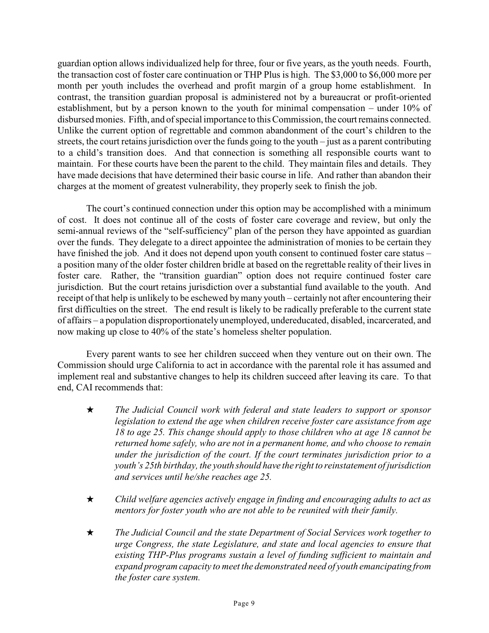guardian option allows individualized help for three, four or five years, as the youth needs. Fourth, the transaction cost of foster care continuation or THP Plus is high. The \$3,000 to \$6,000 more per month per youth includes the overhead and profit margin of a group home establishment. In contrast, the transition guardian proposal is administered not by a bureaucrat or profit-oriented establishment, but by a person known to the youth for minimal compensation – under 10% of disbursed monies. Fifth, and of special importance to this Commission, the court remains connected. Unlike the current option of regrettable and common abandonment of the court's children to the streets, the court retains jurisdiction over the funds going to the youth – just as a parent contributing to a child's transition does. And that connection is something all responsible courts want to maintain. For these courts have been the parent to the child. They maintain files and details. They have made decisions that have determined their basic course in life. And rather than abandon their charges at the moment of greatest vulnerability, they properly seek to finish the job.

The court's continued connection under this option may be accomplished with a minimum of cost. It does not continue all of the costs of foster care coverage and review, but only the semi-annual reviews of the "self-sufficiency" plan of the person they have appointed as guardian over the funds. They delegate to a direct appointee the administration of monies to be certain they have finished the job. And it does not depend upon youth consent to continued foster care status – a position many of the older foster children bridle at based on the regrettable reality of their lives in foster care. Rather, the "transition guardian" option does not require continued foster care jurisdiction. But the court retains jurisdiction over a substantial fund available to the youth. And receipt of that help is unlikely to be eschewed by many youth – certainly not after encountering their first difficulties on the street. The end result is likely to be radically preferable to the current state of affairs – a population disproportionately unemployed, undereducated, disabled, incarcerated, and now making up close to 40% of the state's homeless shelter population.

Every parent wants to see her children succeed when they venture out on their own. The Commission should urge California to act in accordance with the parental role it has assumed and implement real and substantive changes to help its children succeed after leaving its care. To that end, CAI recommends that:

- i *The Judicial Council work with federal and state leaders to support or sponsor legislation to extend the age when children receive foster care assistance from age 18 to age 25. This change should apply to those children who at age 18 cannot be returned home safely, who are not in a permanent home, and who choose to remain under the jurisdiction of the court. If the court terminates jurisdiction prior to a youth's 25th birthday, the youth should have the right to reinstatement of jurisdiction and services until he/she reaches age 25.*
- i *Child welfare agencies actively engage in finding and encouraging adults to act as mentors for foster youth who are not able to be reunited with their family.*
- i *The Judicial Council and the state Department of Social Services work together to urge Congress, the state Legislature, and state and local agencies to ensure that existing THP-Plus programs sustain a level of funding sufficient to maintain and expand program capacity to meet the demonstrated need of youth emancipating from the foster care system.*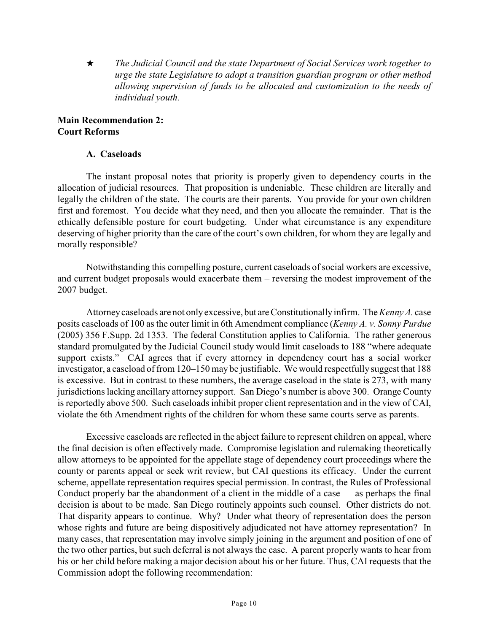i *The Judicial Council and the state Department of Social Services work together to urge the state Legislature to adopt a transition guardian program or other method allowing supervision of funds to be allocated and customization to the needs of individual youth.*

#### **Main Recommendation 2: Court Reforms**

#### **A. Caseloads**

The instant proposal notes that priority is properly given to dependency courts in the allocation of judicial resources. That proposition is undeniable. These children are literally and legally the children of the state. The courts are their parents. You provide for your own children first and foremost. You decide what they need, and then you allocate the remainder. That is the ethically defensible posture for court budgeting. Under what circumstance is any expenditure deserving of higher priority than the care of the court's own children, for whom they are legally and morally responsible?

Notwithstanding this compelling posture, current caseloads of social workers are excessive, and current budget proposals would exacerbate them – reversing the modest improvement of the 2007 budget.

Attorney caseloads are not only excessive, but are Constitutionally infirm. The *Kenny A.* case posits caseloads of 100 as the outer limit in 6th Amendment compliance (*Kenny A. v. Sonny Purdue* (2005) 356 F.Supp. 2d 1353. The federal Constitution applies to California. The rather generous standard promulgated by the Judicial Council study would limit caseloads to 188 "where adequate support exists." CAI agrees that if every attorney in dependency court has a social worker investigator, a caseload of from 120–150 may be justifiable. We would respectfully suggest that 188 is excessive. But in contrast to these numbers, the average caseload in the state is 273, with many jurisdictions lacking ancillary attorney support. San Diego's number is above 300. Orange County is reportedly above 500. Such caseloads inhibit proper client representation and in the view of CAI, violate the 6th Amendment rights of the children for whom these same courts serve as parents.

Excessive caseloads are reflected in the abject failure to represent children on appeal, where the final decision is often effectively made. Compromise legislation and rulemaking theoretically allow attorneys to be appointed for the appellate stage of dependency court proceedings where the county or parents appeal or seek writ review, but CAI questions its efficacy. Under the current scheme, appellate representation requires special permission. In contrast, the Rules of Professional Conduct properly bar the abandonment of a client in the middle of a case — as perhaps the final decision is about to be made. San Diego routinely appoints such counsel. Other districts do not. That disparity appears to continue. Why? Under what theory of representation does the person whose rights and future are being dispositively adjudicated not have attorney representation? In many cases, that representation may involve simply joining in the argument and position of one of the two other parties, but such deferral is not always the case. A parent properly wants to hear from his or her child before making a major decision about his or her future. Thus, CAI requests that the Commission adopt the following recommendation: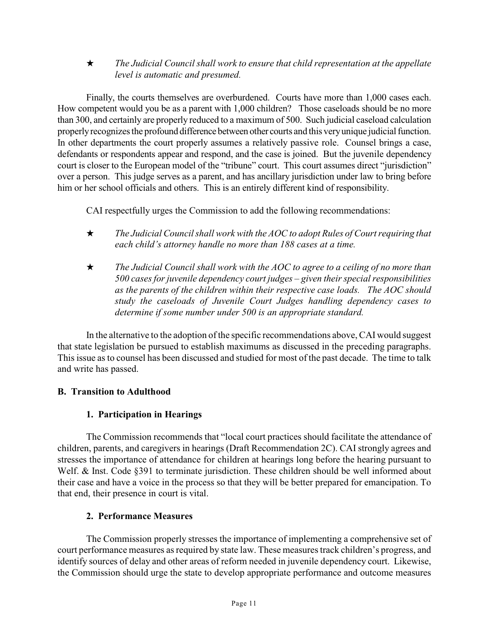i *The Judicial Council shall work to ensure that child representation at the appellate level is automatic and presumed.* 

Finally, the courts themselves are overburdened. Courts have more than 1,000 cases each. How competent would you be as a parent with 1,000 children? Those caseloads should be no more than 300, and certainly are properly reduced to a maximum of 500. Such judicial caseload calculation properly recognizes the profound difference between other courts and this very unique judicial function. In other departments the court properly assumes a relatively passive role. Counsel brings a case, defendants or respondents appear and respond, and the case is joined. But the juvenile dependency court is closer to the European model of the "tribune" court. This court assumes direct "jurisdiction" over a person. This judge serves as a parent, and has ancillary jurisdiction under law to bring before him or her school officials and others. This is an entirely different kind of responsibility.

CAI respectfully urges the Commission to add the following recommendations:

- i *The Judicial Council shall work with the AOC to adopt Rules of Court requiring that each child's attorney handle no more than 188 cases at a time.*
- **★** The Judicial Council shall work with the AOC to agree to a ceiling of no more than *500 cases for juvenile dependency court judges – given their special responsibilities as the parents of the children within their respective case loads. The AOC should study the caseloads of Juvenile Court Judges handling dependency cases to determine if some number under 500 is an appropriate standard.*

In the alternative to the adoption of the specific recommendations above, CAI would suggest that state legislation be pursued to establish maximums as discussed in the preceding paragraphs. This issue as to counsel has been discussed and studied for most of the past decade. The time to talk and write has passed.

## **B. Transition to Adulthood**

### **1. Participation in Hearings**

The Commission recommends that "local court practices should facilitate the attendance of children, parents, and caregivers in hearings (Draft Recommendation 2C). CAI strongly agrees and stresses the importance of attendance for children at hearings long before the hearing pursuant to Welf. & Inst. Code §391 to terminate jurisdiction. These children should be well informed about their case and have a voice in the process so that they will be better prepared for emancipation. To that end, their presence in court is vital.

### **2. Performance Measures**

The Commission properly stresses the importance of implementing a comprehensive set of court performance measures as required by state law. These measures track children's progress, and identify sources of delay and other areas of reform needed in juvenile dependency court. Likewise, the Commission should urge the state to develop appropriate performance and outcome measures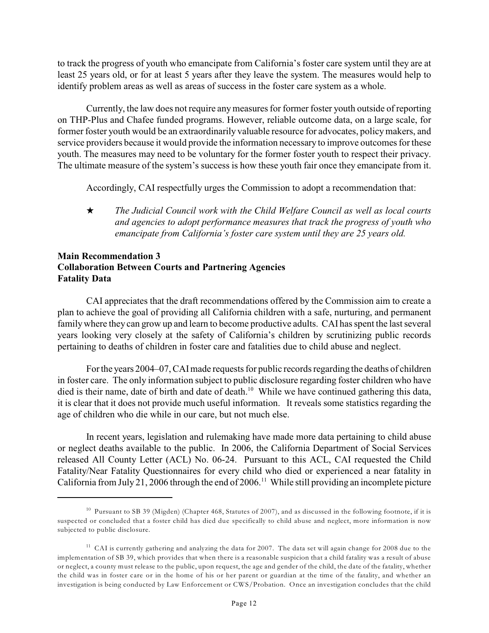to track the progress of youth who emancipate from California's foster care system until they are at least 25 years old, or for at least 5 years after they leave the system. The measures would help to identify problem areas as well as areas of success in the foster care system as a whole.

Currently, the law does not require any measures for former foster youth outside of reporting on THP-Plus and Chafee funded programs. However, reliable outcome data, on a large scale, for former foster youth would be an extraordinarily valuable resource for advocates, policymakers, and service providers because it would provide the information necessary to improve outcomes for these youth. The measures may need to be voluntary for the former foster youth to respect their privacy. The ultimate measure of the system's success is how these youth fair once they emancipate from it.

Accordingly, CAI respectfully urges the Commission to adopt a recommendation that:

i *The Judicial Council work with the Child Welfare Council as well as local courts and agencies to adopt performance measures that track the progress of youth who emancipate from California's foster care system until they are 25 years old.*

#### **Main Recommendation 3 Collaboration Between Courts and Partnering Agencies Fatality Data**

CAI appreciates that the draft recommendations offered by the Commission aim to create a plan to achieve the goal of providing all California children with a safe, nurturing, and permanent family where they can grow up and learn to become productive adults. CAI has spent the last several years looking very closely at the safety of California's children by scrutinizing public records pertaining to deaths of children in foster care and fatalities due to child abuse and neglect.

Forthe years 2004–07, CAImade requests for public records regarding the deaths of children in foster care. The only information subject to public disclosure regarding foster children who have died is their name, date of birth and date of death.<sup>10</sup> While we have continued gathering this data, it is clear that it does not provide much useful information. It reveals some statistics regarding the age of children who die while in our care, but not much else.

In recent years, legislation and rulemaking have made more data pertaining to child abuse or neglect deaths available to the public. In 2006, the California Department of Social Services released All County Letter (ACL) No. 06-24. Pursuant to this ACL, CAI requested the Child Fatality/Near Fatality Questionnaires for every child who died or experienced a near fatality in California from July 21, 2006 through the end of 2006.<sup>11</sup> While still providing an incomplete picture

<sup>&</sup>lt;sup>10</sup> Pursuant to SB 39 (Migden) (Chapter 468, Statutes of 2007), and as discussed in the following footnote, if it is suspected or concluded that a foster child has died due specifically to child abuse and neglect, more information is now subjected to public disclosure.

<sup>&</sup>lt;sup>11</sup> CAI is currently gathering and analyzing the data for 2007. The data set will again change for 2008 due to the implementation of SB 39, which provides that when there is a reasonable suspicion that a child fatality was a result of abuse or neglect, a county must release to the public, upon request, the age and gender of the child, the date of the fatality, whether the child was in foster care or in the home of his or her parent or guardian at the time of the fatality, and whether an investigation is being conducted by Law Enforcement or CWS/Probation. Once an investigation concludes that the child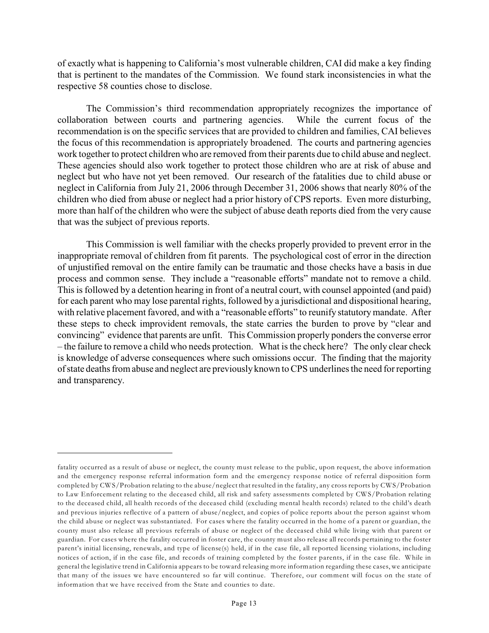of exactly what is happening to California's most vulnerable children, CAI did make a key finding that is pertinent to the mandates of the Commission. We found stark inconsistencies in what the respective 58 counties chose to disclose.

The Commission's third recommendation appropriately recognizes the importance of collaboration between courts and partnering agencies. While the current focus of the recommendation is on the specific services that are provided to children and families, CAI believes the focus of this recommendation is appropriately broadened. The courts and partnering agencies work together to protect children who are removed from their parents due to child abuse and neglect. These agencies should also work together to protect those children who are at risk of abuse and neglect but who have not yet been removed. Our research of the fatalities due to child abuse or neglect in California from July 21, 2006 through December 31, 2006 shows that nearly 80% of the children who died from abuse or neglect had a prior history of CPS reports. Even more disturbing, more than half of the children who were the subject of abuse death reports died from the very cause that was the subject of previous reports.

This Commission is well familiar with the checks properly provided to prevent error in the inappropriate removal of children from fit parents. The psychological cost of error in the direction of unjustified removal on the entire family can be traumatic and those checks have a basis in due process and common sense. They include a "reasonable efforts" mandate not to remove a child. This is followed by a detention hearing in front of a neutral court, with counsel appointed (and paid) for each parent who may lose parental rights, followed by a jurisdictional and dispositional hearing, with relative placement favored, and with a "reasonable efforts" to reunify statutory mandate. After these steps to check improvident removals, the state carries the burden to prove by "clear and convincing" evidence that parents are unfit. This Commission properly ponders the converse error – the failure to remove a child who needs protection. What is the check here? The only clear check is knowledge of adverse consequences where such omissions occur. The finding that the majority of state deaths from abuse and neglect are previously known to CPS underlines the need for reporting and transparency.

fatality occurred as a result of abuse or neglect, the county must release to the public, upon request, the above information and the emergency response referral information form and the emergency response notice of referral disposition form completed by CWS/Probation relating to the abuse/neglect that resulted in the fatality, any cross reports by CWS/Probation to Law Enforcement relating to the deceased child, all risk and safety assessments completed by CWS/Probation relating to the deceased child, all health records of the deceased child (excluding mental health records) related to the child's death and previous injuries reflective of a pattern of abuse/neglect, and copies of police reports about the person against whom the child abuse or neglect was substantiated. For cases where the fatality occurred in the home of a parent or guardian, the county must also release all previous referrals of abuse or neglect of the deceased child while living with that parent or guardian. For cases where the fatality occurred in foster care, the county must also release all records pertaining to the foster parent's initial licensing, renewals, and type of license(s) held, if in the case file, all reported licensing violations, including notices of action, if in the case file, and records of training completed by the foster parents, if in the case file. While in general the legislative trend in California appears to be toward releasing more information regarding these cases, we anticipate that many of the issues we have encountered so far will continue. Therefore, our comment will focus on the state of information that we have received from the State and counties to date.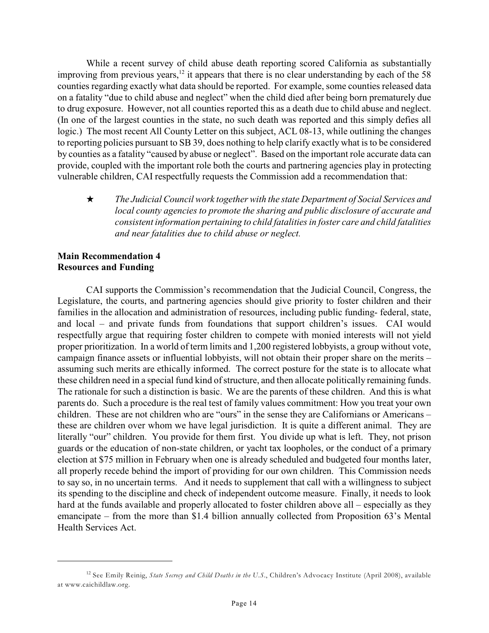While a recent survey of child abuse death reporting scored California as substantially improving from previous years,  $\frac{12}{12}$  it appears that there is no clear understanding by each of the 58 counties regarding exactly what data should be reported. For example, some counties released data on a fatality "due to child abuse and neglect" when the child died after being born prematurely due to drug exposure. However, not all counties reported this as a death due to child abuse and neglect. (In one of the largest counties in the state, no such death was reported and this simply defies all logic.) The most recent All County Letter on this subject, ACL 08-13, while outlining the changes to reporting policies pursuant to SB 39, does nothing to help clarify exactly what is to be considered by counties as a fatality "caused by abuse or neglect". Based on the important role accurate data can provide, coupled with the important role both the courts and partnering agencies play in protecting vulnerable children, CAI respectfully requests the Commission add a recommendation that:

i *The Judicial Council work together with the state Department of Social Services and local county agencies to promote the sharing and public disclosure of accurate and consistent information pertaining to child fatalities in foster care and child fatalities and near fatalities due to child abuse or neglect.*

#### **Main Recommendation 4 Resources and Funding**

CAI supports the Commission's recommendation that the Judicial Council, Congress, the Legislature, the courts, and partnering agencies should give priority to foster children and their families in the allocation and administration of resources, including public funding- federal, state, and local – and private funds from foundations that support children's issues. CAI would respectfully argue that requiring foster children to compete with monied interests will not yield proper prioritization. In a world of term limits and 1,200 registered lobbyists, a group without vote, campaign finance assets or influential lobbyists, will not obtain their proper share on the merits – assuming such merits are ethically informed. The correct posture for the state is to allocate what these children need in a special fund kind of structure, and then allocate politically remaining funds. The rationale for such a distinction is basic. We are the parents of these children. And this is what parents do. Such a procedure is the real test of family values commitment: How you treat your own children. These are not children who are "ours" in the sense they are Californians or Americans – these are children over whom we have legal jurisdiction. It is quite a different animal. They are literally "our" children. You provide for them first. You divide up what is left. They, not prison guards or the education of non-state children, or yacht tax loopholes, or the conduct of a primary election at \$75 million in February when one is already scheduled and budgeted four months later, all properly recede behind the import of providing for our own children. This Commission needs to say so, in no uncertain terms. And it needs to supplement that call with a willingness to subject its spending to the discipline and check of independent outcome measure. Finally, it needs to look hard at the funds available and properly allocated to foster children above all – especially as they emancipate – from the more than \$1.4 billion annually collected from Proposition 63's Mental Health Services Act.

<sup>&</sup>lt;sup>12</sup> See Emily Reinig, *State Secrecy and Child Deaths in the U.S.*, Children's Advocacy Institute (April 2008), available at www.caichildlaw.org.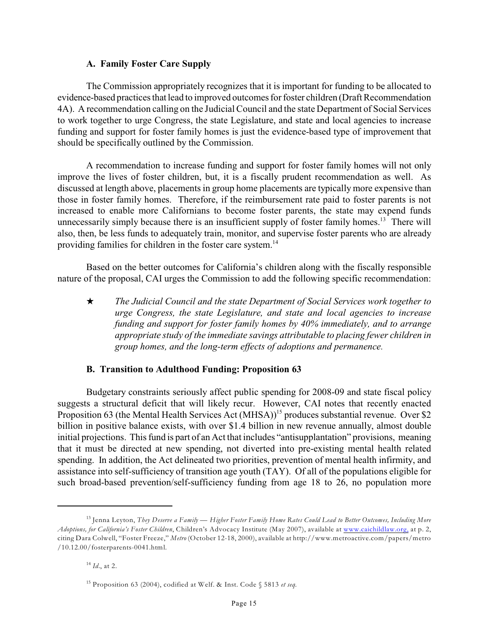#### **A. Family Foster Care Supply**

The Commission appropriately recognizes that it is important for funding to be allocated to evidence-based practices that lead to improved outcomes for foster children (Draft Recommendation 4A). A recommendation calling on the Judicial Council and the state Department of Social Services to work together to urge Congress, the state Legislature, and state and local agencies to increase funding and support for foster family homes is just the evidence-based type of improvement that should be specifically outlined by the Commission.

A recommendation to increase funding and support for foster family homes will not only improve the lives of foster children, but, it is a fiscally prudent recommendation as well. As discussed at length above, placements in group home placements are typically more expensive than those in foster family homes. Therefore, if the reimbursement rate paid to foster parents is not increased to enable more Californians to become foster parents, the state may expend funds unnecessarily simply because there is an insufficient supply of foster family homes.<sup>13</sup> There will also, then, be less funds to adequately train, monitor, and supervise foster parents who are already providing families for children in the foster care system.<sup>14</sup>

Based on the better outcomes for California's children along with the fiscally responsible nature of the proposal, CAI urges the Commission to add the following specific recommendation:

i *The Judicial Council and the state Department of Social Services work together to urge Congress, the state Legislature, and state and local agencies to increase funding and support for foster family homes by 40% immediately, and to arrange appropriate study of the immediate savings attributable to placing fewer children in group homes, and the long-term effects of adoptions and permanence.*

### **B. Transition to Adulthood Funding: Proposition 63**

Budgetary constraints seriously affect public spending for 2008-09 and state fiscal policy suggests a structural deficit that will likely recur. However, CAI notes that recently enacted Proposition 63 (the Mental Health Services Act (MHSA))<sup>15</sup> produces substantial revenue. Over \$2 billion in positive balance exists, with over \$1.4 billion in new revenue annually, almost double initial projections. This fund is part of an Act that includes "antisupplantation" provisions, meaning that it must be directed at new spending, not diverted into pre-existing mental health related spending. In addition, the Act delineated two priorities, prevention of mental health infirmity, and assistance into self-sufficiency of transition age youth (TAY). Of all of the populations eligible for such broad-based prevention/self-sufficiency funding from age 18 to 26, no population more

Jenna Leyton, *They Deserve a Family — Higher Foster Family Home Rates Could Lead to Better Outcomes, Including More* 13 *Adoptions, for California's Foster Children*, Children's Advocacy Institute (May 2007), available at [www.caichildlaw.org,](http://www.caichildlaw.org,) at p. 2, citing Dara Colwell, "Foster Freeze," *Metro* (October 12-18, 2000), available at http://www.metroactive.com/papers/metro /10.12.00/fosterparents-0041.html.

 $^{14}$  *Id.*, at 2.

<sup>&</sup>lt;sup>15</sup> Proposition 63 (2004), codified at Welf. & Inst. Code § 5813 *et seq*.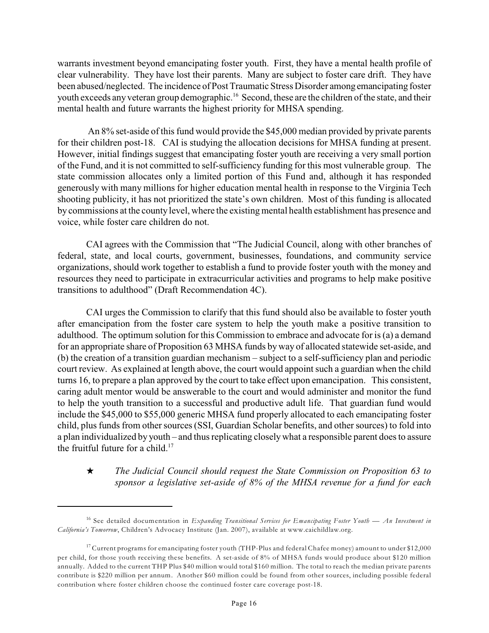warrants investment beyond emancipating foster youth. First, they have a mental health profile of clear vulnerability. They have lost their parents. Many are subject to foster care drift. They have been abused/neglected. The incidence of Post Traumatic Stress Disorder among emancipating foster youth exceeds any veteran group demographic.<sup>16</sup> Second, these are the children of the state, and their mental health and future warrants the highest priority for MHSA spending.

 An 8% set-aside of this fund would provide the \$45,000 median provided by private parents for their children post-18. CAI is studying the allocation decisions for MHSA funding at present. However, initial findings suggest that emancipating foster youth are receiving a very small portion of the Fund, and it is not committed to self-sufficiency funding for this most vulnerable group. The state commission allocates only a limited portion of this Fund and, although it has responded generously with many millions for higher education mental health in response to the Virginia Tech shooting publicity, it has not prioritized the state's own children. Most of this funding is allocated by commissions at the county level, where the existing mental health establishment has presence and voice, while foster care children do not.

CAI agrees with the Commission that "The Judicial Council, along with other branches of federal, state, and local courts, government, businesses, foundations, and community service organizations, should work together to establish a fund to provide foster youth with the money and resources they need to participate in extracurricular activities and programs to help make positive transitions to adulthood" (Draft Recommendation 4C).

CAI urges the Commission to clarify that this fund should also be available to foster youth after emancipation from the foster care system to help the youth make a positive transition to adulthood. The optimum solution for this Commission to embrace and advocate for is (a) a demand for an appropriate share of Proposition 63 MHSA funds by way of allocated statewide set-aside, and (b) the creation of a transition guardian mechanism – subject to a self-sufficiency plan and periodic court review. As explained at length above, the court would appoint such a guardian when the child turns 16, to prepare a plan approved by the court to take effect upon emancipation. This consistent, caring adult mentor would be answerable to the court and would administer and monitor the fund to help the youth transition to a successful and productive adult life. That guardian fund would include the \$45,000 to \$55,000 generic MHSA fund properly allocated to each emancipating foster child, plus funds from other sources (SSI, Guardian Scholar benefits, and other sources) to fold into a plan individualized by youth – and thus replicating closely what a responsible parent does to assure the fruitful future for a child.<sup>17</sup>

## i *The Judicial Council should request the State Commission on Proposition 63 to sponsor a legislative set-aside of 8% of the MHSA revenue for a fund for each*

<sup>&</sup>lt;sup>16</sup> See detailed documentation in *Expanding Transitional Services for Emancipating Foster Youth — An Investment in California's Tomorrow*, Children's Advocacy Institute (Jan. 2007), available at www.caichildlaw.org.

<sup>&</sup>lt;sup>17</sup> Current programs for emancipating foster youth (THP-Plus and federal Chafee money) amount to under \$12,000 per child, for those youth receiving these benefits. A set-aside of 8% of MHSA funds would produce about \$120 million annually. Added to the current THP Plus \$40 million would total \$160 million. The total to reach the median private parents contribute is \$220 million per annum. Another \$60 million could be found from other sources, including possible federal contribution where foster children choose the continued foster care coverage post-18.